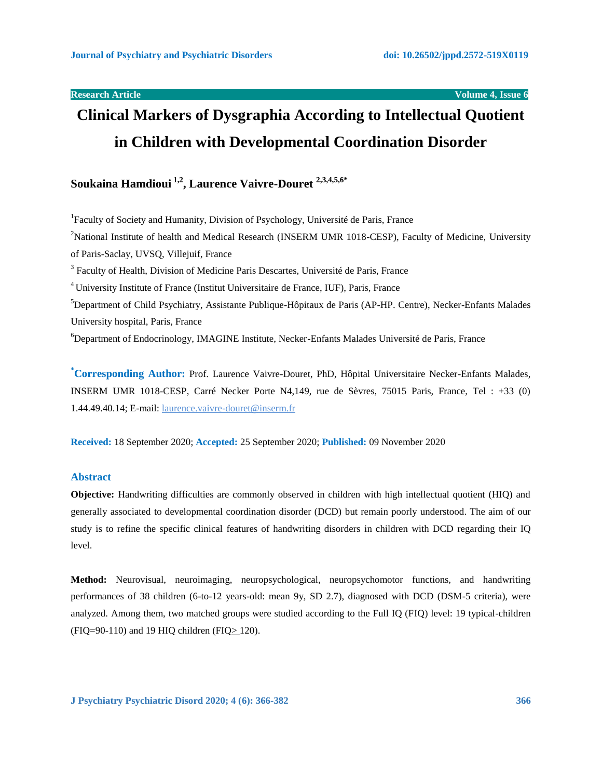**Research Article Volume 4, Issue 6**

# **Clinical Markers of Dysgraphia According to Intellectual Quotient in Children with Developmental Coordination Disorder**

# **Soukaina Hamdioui 1,2 , Laurence Vaivre-Douret 2,3,4,5,6\***

<sup>1</sup>Faculty of Society and Humanity, Division of Psychology, Université de Paris, France <sup>2</sup>National Institute of health and Medical Research (INSERM UMR 1018-CESP), Faculty of Medicine, University of Paris-Saclay, UVSQ, Villejuif, France <sup>3</sup> Faculty of Health, Division of Medicine Paris Descartes, Université de Paris, France <sup>4</sup>University Institute of France (Institut Universitaire de France, IUF), Paris, France <sup>5</sup>Department of Child Psychiatry, Assistante Publique-Hôpitaux de Paris (AP-HP. Centre), Necker-Enfants Malades University hospital, Paris, France <sup>6</sup>Department of Endocrinology, IMAGINE Institute, Necker-Enfants Malades Université de Paris, France

**\*Corresponding Author:** Prof. Laurence Vaivre-Douret, PhD, Hôpital Universitaire Necker-Enfants Malades, INSERM UMR 1018-CESP, Carré Necker Porte N4,149, rue de Sèvres, 75015 Paris, France, Tel : +33 (0) 1.44.49.40.14; E-mail: [laurence.vaivre-douret@inserm.fr](mailto:laurence.vaivre-douret@inserm.fr) 

**Received:** 18 September 2020; **Accepted:** 25 September 2020; **Published:** 09 November 2020

# **Abstract**

**Objective:** Handwriting difficulties are commonly observed in children with high intellectual quotient (HIQ) and generally associated to developmental coordination disorder (DCD) but remain poorly understood. The aim of our study is to refine the specific clinical features of handwriting disorders in children with DCD regarding their IQ level.

**Method:** Neurovisual, neuroimaging, neuropsychological, neuropsychomotor functions, and handwriting performances of 38 children (6-to-12 years-old: mean 9y, SD 2.7), diagnosed with DCD (DSM-5 criteria), were analyzed. Among them, two matched groups were studied according to the Full IQ (FIQ) level: 19 typical-children (FIQ=90-110) and 19 HIQ children (FIQ> 120).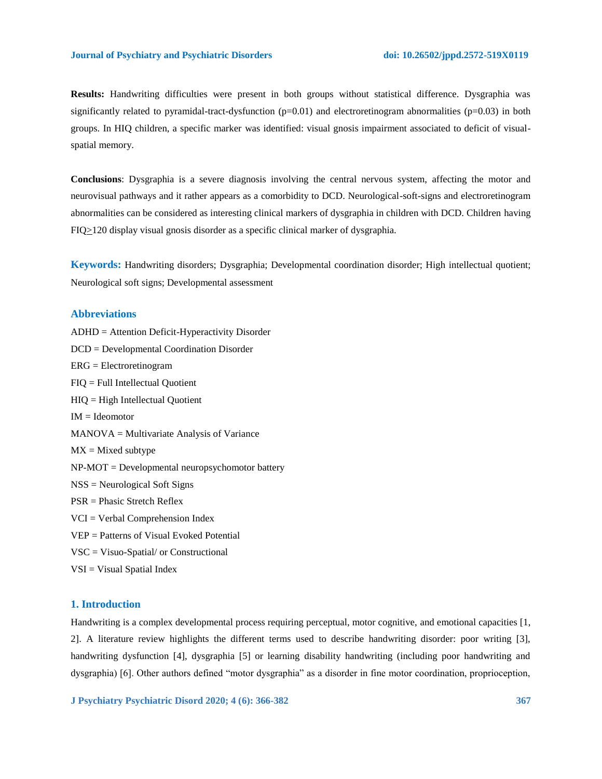**Results:** Handwriting difficulties were present in both groups without statistical difference. Dysgraphia was significantly related to pyramidal-tract-dysfunction  $(p=0.01)$  and electroretinogram abnormalities  $(p=0.03)$  in both groups. In HIQ children, a specific marker was identified: visual gnosis impairment associated to deficit of visualspatial memory.

**Conclusions**: Dysgraphia is a severe diagnosis involving the central nervous system, affecting the motor and neurovisual pathways and it rather appears as a comorbidity to DCD. Neurological-soft-signs and electroretinogram abnormalities can be considered as interesting clinical markers of dysgraphia in children with DCD. Children having  $FIQ>120$  display visual gnosis disorder as a specific clinical marker of dysgraphia.

**Keywords:** Handwriting disorders; Dysgraphia; Developmental coordination disorder; High intellectual quotient; Neurological soft signs; Developmental assessment

# **Abbreviations**

ADHD = Attention Deficit-Hyperactivity Disorder DCD = Developmental Coordination Disorder ERG = Electroretinogram FIQ = Full Intellectual Quotient HIQ = High Intellectual Quotient  $IM = Ideomotor$ MANOVA = Multivariate Analysis of Variance  $MX = Mixed$  subtype  $NP-MOT = Development$  neuropsychomotor battery NSS = Neurological Soft Signs PSR = Phasic Stretch Reflex VCI = Verbal Comprehension Index VEP = Patterns of Visual Evoked Potential VSC = Visuo-Spatial/ or Constructional VSI = Visual Spatial Index

#### **1. Introduction**

Handwriting is a complex developmental process requiring perceptual, motor cognitive, and emotional capacities [1, 2]. A literature review highlights the different terms used to describe handwriting disorder: poor writing [3], handwriting dysfunction [4], dysgraphia [5] or learning disability handwriting (including poor handwriting and dysgraphia) [6]. Other authors defined "motor dysgraphia" as a disorder in fine motor coordination, proprioception,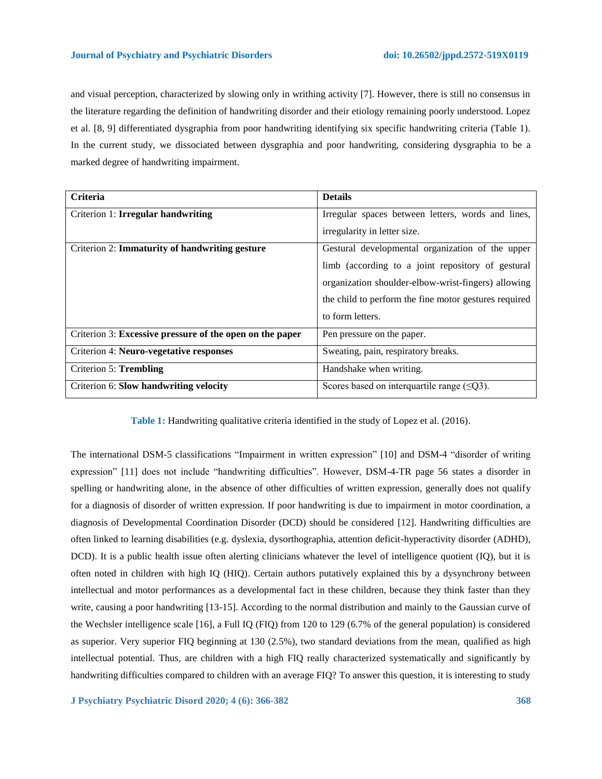and visual perception, characterized by slowing only in writhing activity [7]. However, there is still no consensus in the literature regarding the definition of handwriting disorder and their etiology remaining poorly understood. Lopez et al. [8, 9] differentiated dysgraphia from poor handwriting identifying six specific handwriting criteria (Table 1). In the current study, we dissociated between dysgraphia and poor handwriting, considering dysgraphia to be a marked degree of handwriting impairment.

| Criteria                                                 | <b>Details</b>                                        |  |
|----------------------------------------------------------|-------------------------------------------------------|--|
| Criterion 1: Irregular handwriting                       | Irregular spaces between letters, words and lines,    |  |
|                                                          | irregularity in letter size.                          |  |
| Criterion 2: <b>Immaturity of handwriting gesture</b>    | Gestural developmental organization of the upper      |  |
|                                                          | limb (according to a joint repository of gestural     |  |
|                                                          | organization shoulder-elbow-wrist-fingers) allowing   |  |
|                                                          | the child to perform the fine motor gestures required |  |
|                                                          | to form letters.                                      |  |
| Criterion 3: Excessive pressure of the open on the paper | Pen pressure on the paper.                            |  |
| Criterion 4: Neuro-vegetative responses                  | Sweating, pain, respiratory breaks.                   |  |
| <b>Criterion 5: Trembling</b>                            | Handshake when writing.                               |  |
| Criterion 6: Slow handwriting velocity                   | Scores based on interquartile range $(\leq Q3)$ .     |  |

**Table 1:** Handwriting qualitative criteria identified in the study of Lopez et al. (2016).

The international DSM-5 classifications "Impairment in written expression" [10] and DSM-4 "disorder of writing expression" [11] does not include "handwriting difficulties". However, DSM-4-TR page 56 states a disorder in spelling or handwriting alone, in the absence of other difficulties of written expression, generally does not qualify for a diagnosis of disorder of written expression. If poor handwriting is due to impairment in motor coordination, a diagnosis of Developmental Coordination Disorder (DCD) should be considered [12]. Handwriting difficulties are often linked to learning disabilities (e.g. dyslexia, dysorthographia, attention deficit-hyperactivity disorder (ADHD), DCD). It is a public health issue often alerting clinicians whatever the level of intelligence quotient (IQ), but it is often noted in children with high IQ (HIQ). Certain authors putatively explained this by a dysynchrony between intellectual and motor performances as a developmental fact in these children, because they think faster than they write, causing a poor handwriting [13-15]. According to the normal distribution and mainly to the Gaussian curve of the Wechsler intelligence scale [16], a Full IQ (FIQ) from 120 to 129 (6.7% of the general population) is considered as superior. Very superior FIQ beginning at 130 (2.5%), two standard deviations from the mean, qualified as high intellectual potential. Thus, are children with a high FIQ really characterized systematically and significantly by handwriting difficulties compared to children with an average FIQ? To answer this question, it is interesting to study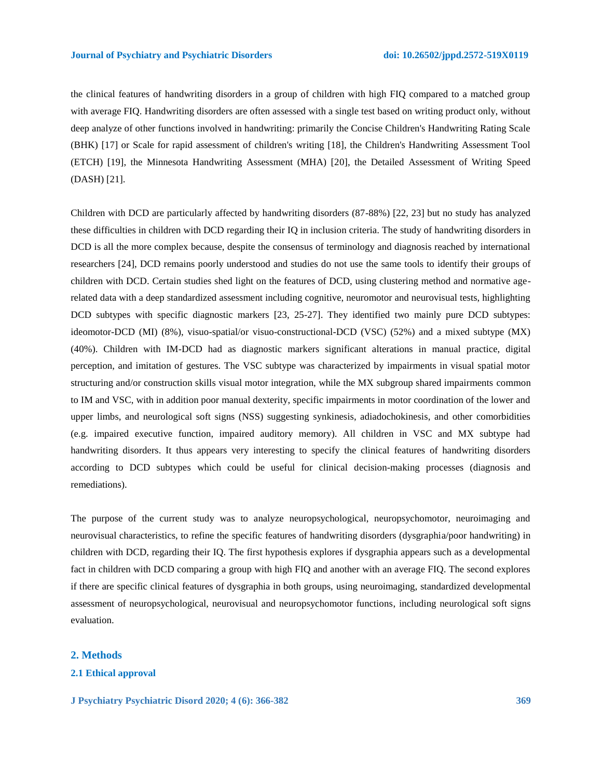the clinical features of handwriting disorders in a group of children with high FIQ compared to a matched group with average FIQ. Handwriting disorders are often assessed with a single test based on writing product only, without deep analyze of other functions involved in handwriting: primarily the Concise Children's Handwriting Rating Scale (BHK) [17] or Scale for rapid assessment of children's writing [18], the Children's Handwriting Assessment Tool (ETCH) [19], the Minnesota Handwriting Assessment (MHA) [20], the Detailed Assessment of Writing Speed (DASH) [21].

Children with DCD are particularly affected by handwriting disorders (87-88%) [22, 23] but no study has analyzed these difficulties in children with DCD regarding their IQ in inclusion criteria. The study of handwriting disorders in DCD is all the more complex because, despite the consensus of terminology and diagnosis reached by international researchers [24], DCD remains poorly understood and studies do not use the same tools to identify their groups of children with DCD. Certain studies shed light on the features of DCD, using clustering method and normative agerelated data with a deep standardized assessment including cognitive, neuromotor and neurovisual tests, highlighting DCD subtypes with specific diagnostic markers [23, 25-27]. They identified two mainly pure DCD subtypes: ideomotor-DCD (MI) (8%), visuo-spatial/or visuo-constructional-DCD (VSC) (52%) and a mixed subtype (MX) (40%). Children with IM-DCD had as diagnostic markers significant alterations in manual practice, digital perception, and imitation of gestures. The VSC subtype was characterized by impairments in visual spatial motor structuring and/or construction skills visual motor integration, while the MX subgroup shared impairments common to IM and VSC, with in addition poor manual dexterity, specific impairments in motor coordination of the lower and upper limbs, and neurological soft signs (NSS) suggesting synkinesis, adiadochokinesis, and other comorbidities (e.g. impaired executive function, impaired auditory memory). All children in VSC and MX subtype had handwriting disorders. It thus appears very interesting to specify the clinical features of handwriting disorders according to DCD subtypes which could be useful for clinical decision-making processes (diagnosis and remediations).

The purpose of the current study was to analyze neuropsychological, neuropsychomotor, neuroimaging and neurovisual characteristics, to refine the specific features of handwriting disorders (dysgraphia/poor handwriting) in children with DCD, regarding their IQ. The first hypothesis explores if dysgraphia appears such as a developmental fact in children with DCD comparing a group with high FIQ and another with an average FIQ. The second explores if there are specific clinical features of dysgraphia in both groups, using neuroimaging, standardized developmental assessment of neuropsychological, neurovisual and neuropsychomotor functions, including neurological soft signs evaluation.

# **2. Methods**

# **2.1 Ethical approval**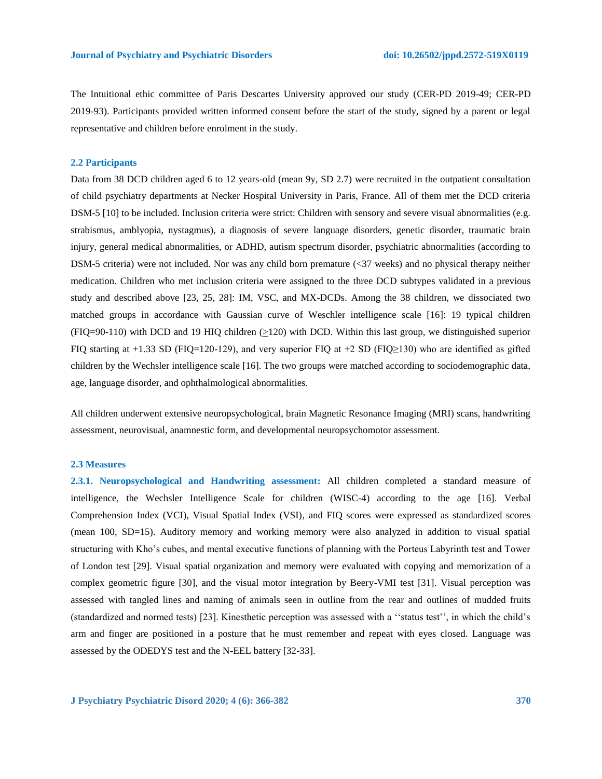The Intuitional ethic committee of Paris Descartes University approved our study (CER-PD 2019-49; CER-PD 2019-93). Participants provided written informed consent before the start of the study, signed by a parent or legal representative and children before enrolment in the study.

## **2.2 Participants**

Data from 38 DCD children aged 6 to 12 years-old (mean 9y, SD 2.7) were recruited in the outpatient consultation of child psychiatry departments at Necker Hospital University in Paris, France. All of them met the DCD criteria DSM-5 [10] to be included. Inclusion criteria were strict: Children with sensory and severe visual abnormalities (e.g. strabismus, amblyopia, nystagmus), a diagnosis of severe language disorders, genetic disorder, traumatic brain injury, general medical abnormalities, or ADHD, autism spectrum disorder, psychiatric abnormalities (according to DSM-5 criteria) were not included. Nor was any child born premature (<37 weeks) and no physical therapy neither medication. Children who met inclusion criteria were assigned to the three DCD subtypes validated in a previous study and described above [23, 25, 28]: IM, VSC, and MX-DCDs. Among the 38 children, we dissociated two matched groups in accordance with Gaussian curve of Weschler intelligence scale [16]: 19 typical children (FIQ=90-110) with DCD and 19 HIQ children (>120) with DCD. Within this last group, we distinguished superior FIQ starting at +1.33 SD (FIQ=120-129), and very superior FIQ at +2 SD (FIQ≥130) who are identified as gifted children by the Wechsler intelligence scale [16]. The two groups were matched according to sociodemographic data, age, language disorder, and ophthalmological abnormalities.

All children underwent extensive neuropsychological, brain Magnetic Resonance Imaging (MRI) scans, handwriting assessment, neurovisual, anamnestic form, and developmental neuropsychomotor assessment.

#### **2.3 Measures**

**2.3.1. Neuropsychological and Handwriting assessment:** All children completed a standard measure of intelligence, the Wechsler Intelligence Scale for children (WISC-4) according to the age [16]. Verbal Comprehension Index (VCI), Visual Spatial Index (VSI), and FIQ scores were expressed as standardized scores (mean 100, SD=15). Auditory memory and working memory were also analyzed in addition to visual spatial structuring with Kho's cubes, and mental executive functions of planning with the Porteus Labyrinth test and Tower of London test [29]. Visual spatial organization and memory were evaluated with copying and memorization of a complex geometric figure [30], and the visual motor integration by Beery-VMI test [31]. Visual perception was assessed with tangled lines and naming of animals seen in outline from the rear and outlines of mudded fruits (standardized and normed tests) [23]. Kinesthetic perception was assessed with a ''status test'', in which the child's arm and finger are positioned in a posture that he must remember and repeat with eyes closed. Language was assessed by the ODEDYS test and the N-EEL battery [32-33].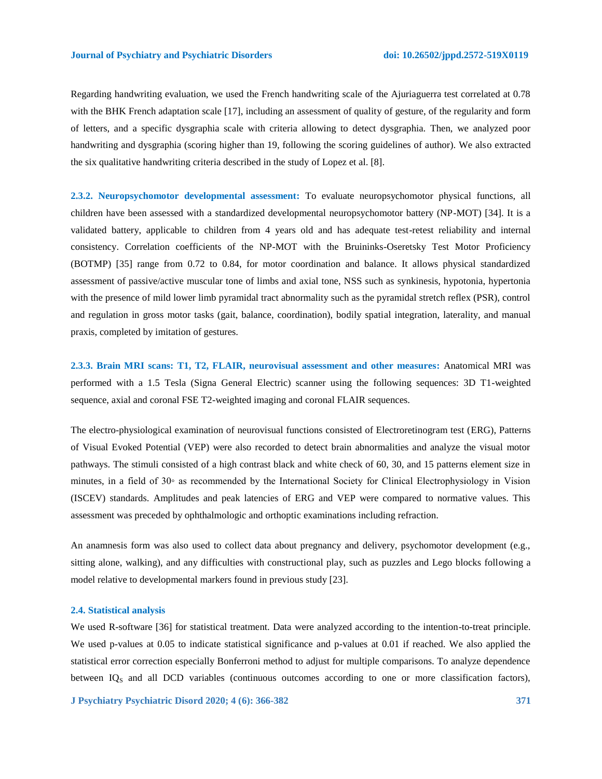Regarding handwriting evaluation, we used the French handwriting scale of the Ajuriaguerra test correlated at 0.78 with the BHK French adaptation scale [17], including an assessment of quality of gesture, of the regularity and form of letters, and a specific dysgraphia scale with criteria allowing to detect dysgraphia. Then, we analyzed poor handwriting and dysgraphia (scoring higher than 19, following the scoring guidelines of author). We also extracted the six qualitative handwriting criteria described in the study of Lopez et al. [8].

**2.3.2. Neuropsychomotor developmental assessment:** To evaluate neuropsychomotor physical functions, all children have been assessed with a standardized developmental neuropsychomotor battery (NP-MOT) [34]. It is a validated battery, applicable to children from 4 years old and has adequate test-retest reliability and internal consistency. Correlation coefficients of the NP-MOT with the Bruininks-Oseretsky Test Motor Proficiency (BOTMP) [35] range from 0.72 to 0.84, for motor coordination and balance. It allows physical standardized assessment of passive/active muscular tone of limbs and axial tone, NSS such as synkinesis, hypotonia, hypertonia with the presence of mild lower limb pyramidal tract abnormality such as the pyramidal stretch reflex (PSR), control and regulation in gross motor tasks (gait, balance, coordination), bodily spatial integration, laterality, and manual praxis, completed by imitation of gestures.

**2.3.3. Brain MRI scans: T1, T2, FLAIR, neurovisual assessment and other measures:** Anatomical MRI was performed with a 1.5 Tesla (Signa General Electric) scanner using the following sequences: 3D T1-weighted sequence, axial and coronal FSE T2-weighted imaging and coronal FLAIR sequences.

The electro-physiological examination of neurovisual functions consisted of Electroretinogram test (ERG), Patterns of Visual Evoked Potential (VEP) were also recorded to detect brain abnormalities and analyze the visual motor pathways. The stimuli consisted of a high contrast black and white check of 60, 30, and 15 patterns element size in minutes, in a field of 30◦ as recommended by the International Society for Clinical Electrophysiology in Vision (ISCEV) standards. Amplitudes and peak latencies of ERG and VEP were compared to normative values. This assessment was preceded by ophthalmologic and orthoptic examinations including refraction.

An anamnesis form was also used to collect data about pregnancy and delivery, psychomotor development (e.g., sitting alone, walking), and any difficulties with constructional play, such as puzzles and Lego blocks following a model relative to developmental markers found in previous study [23].

## **2.4. Statistical analysis**

We used R-software [36] for statistical treatment. Data were analyzed according to the intention-to-treat principle. We used p-values at 0.05 to indicate statistical significance and p-values at 0.01 if reached. We also applied the statistical error correction especially Bonferroni method to adjust for multiple comparisons. To analyze dependence between  $IQ<sub>S</sub>$  and all DCD variables (continuous outcomes according to one or more classification factors),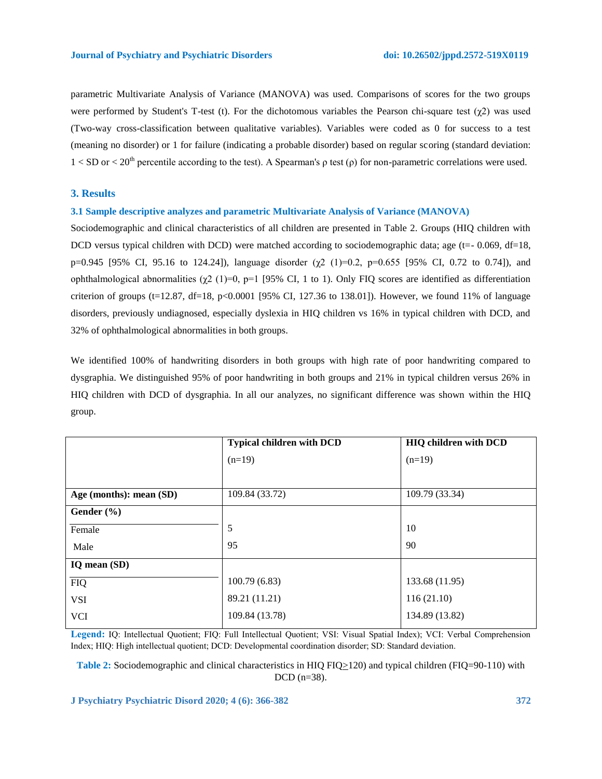parametric Multivariate Analysis of Variance (MANOVA) was used. Comparisons of scores for the two groups were performed by Student's T-test (t). For the dichotomous variables the Pearson chi-square test  $(\gamma 2)$  was used (Two-way cross-classification between qualitative variables). Variables were coded as 0 for success to a test (meaning no disorder) or 1 for failure (indicating a probable disorder) based on regular scoring (standard deviation:  $1 < SD$  or  $1 < 20<sup>th</sup>$  percentile according to the test). A Spearman's  $\rho$  test ( $\rho$ ) for non-parametric correlations were used.

# **3. Results**

# **3.1 Sample descriptive analyzes and parametric Multivariate Analysis of Variance (MANOVA)**

Sociodemographic and clinical characteristics of all children are presented in Table 2. Groups (HIQ children with DCD versus typical children with DCD) were matched according to sociodemographic data; age ( $t=- 0.069$ , df=18, p=0.945 [95% CI, 95.16 to 124.24]), language disorder  $(\gamma^2$  (1)=0.2, p=0.655 [95% CI, 0.72 to 0.74]), and ophthalmological abnormalities  $(χ2 (1)=0, p=1 [95% CI, 1 to 1)$ . Only FIQ scores are identified as differentiation criterion of groups (t=12.87, df=18, p<0.0001 [95% CI, 127.36 to 138.01]). However, we found 11% of language disorders, previously undiagnosed, especially dyslexia in HIQ children vs 16% in typical children with DCD, and 32% of ophthalmological abnormalities in both groups.

We identified 100% of handwriting disorders in both groups with high rate of poor handwriting compared to dysgraphia. We distinguished 95% of poor handwriting in both groups and 21% in typical children versus 26% in HIQ children with DCD of dysgraphia. In all our analyzes, no significant difference was shown within the HIQ group.

|                         | <b>Typical children with DCD</b> | <b>HIQ children with DCD</b> |
|-------------------------|----------------------------------|------------------------------|
|                         | $(n=19)$                         | $(n=19)$                     |
|                         |                                  |                              |
| Age (months): mean (SD) | 109.84 (33.72)                   | 109.79 (33.34)               |
| Gender (%)              |                                  |                              |
| Female                  | 5                                | 10                           |
| Male                    | 95                               | 90                           |
| IQ mean (SD)            |                                  |                              |
| <b>FIQ</b>              | 100.79(6.83)                     | 133.68 (11.95)               |
| <b>VSI</b>              | 89.21 (11.21)                    | 116(21.10)                   |
| <b>VCI</b>              | 109.84 (13.78)                   | 134.89 (13.82)               |
|                         |                                  |                              |

**Legend:** IQ: Intellectual Quotient; FIQ: Full Intellectual Quotient; VSI: Visual Spatial Index); VCI: Verbal Comprehension Index; HIQ: High intellectual quotient; DCD: Developmental coordination disorder; SD: Standard deviation.

**Table 2:** Sociodemographic and clinical characteristics in HIQ FIQ>120) and typical children (FIQ=90-110) with DCD (n=38).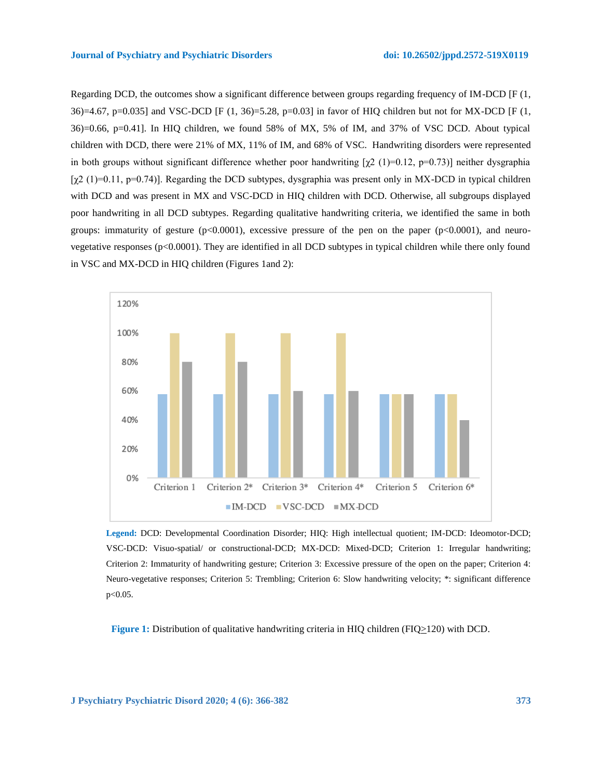Regarding DCD, the outcomes show a significant difference between groups regarding frequency of IM-DCD [F (1, 36)=4.67, p=0.035] and VSC-DCD [F (1, 36)=5.28, p=0.03] in favor of HIQ children but not for MX-DCD [F (1, 36)=0.66, p=0.41]. In HIQ children, we found 58% of MX, 5% of IM, and 37% of VSC DCD. About typical children with DCD, there were 21% of MX, 11% of IM, and 68% of VSC. Handwriting disorders were represented in both groups without significant difference whether poor handwriting  $[\chi^2 (1)=0.12, \text{p}=0.73]$  neither dysgraphia  $[\chi^2(1) = 0.11, \text{ p=0.74}]$ . Regarding the DCD subtypes, dysgraphia was present only in MX-DCD in typical children with DCD and was present in MX and VSC-DCD in HIQ children with DCD. Otherwise, all subgroups displayed poor handwriting in all DCD subtypes. Regarding qualitative handwriting criteria, we identified the same in both groups: immaturity of gesture  $(p<0.0001)$ , excessive pressure of the pen on the paper  $(p<0.0001)$ , and neurovegetative responses (p<0.0001). They are identified in all DCD subtypes in typical children while there only found in VSC and MX-DCD in HIQ children (Figures 1and 2):



**Legend:** DCD: Developmental Coordination Disorder; HIQ: High intellectual quotient; IM-DCD: Ideomotor-DCD; VSC-DCD: Visuo-spatial/ or constructional-DCD; MX-DCD: Mixed-DCD; Criterion 1: Irregular handwriting; Criterion 2: Immaturity of handwriting gesture; Criterion 3: Excessive pressure of the open on the paper; Criterion 4: Neuro-vegetative responses; Criterion 5: Trembling; Criterion 6: Slow handwriting velocity; \*: significant difference p<0.05.

**Figure 1:** Distribution of qualitative handwriting criteria in HIQ children (FIQ>120) with DCD.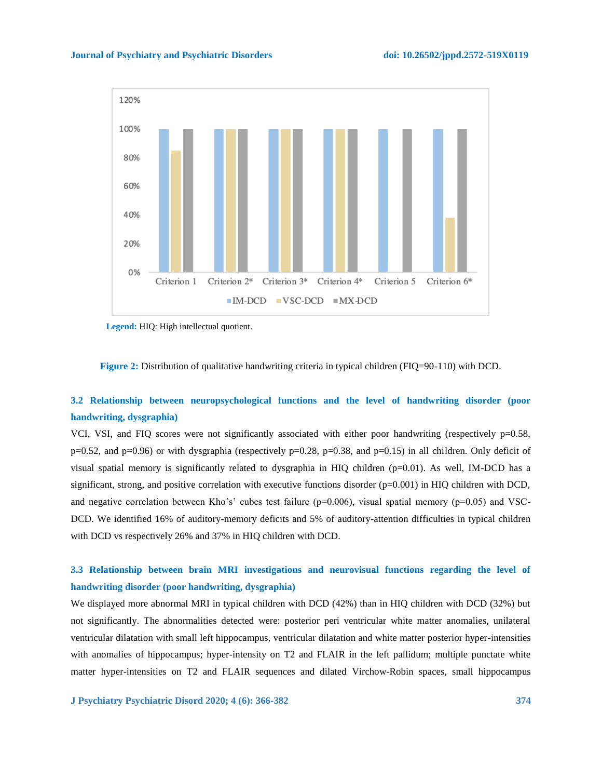#### **Journal of Psychiatry and Psychiatric Disorders doi: 10.26502/jppd.2572-519X0119**



 **Legend:** HIQ: High intellectual quotient.

**Figure 2:** Distribution of qualitative handwriting criteria in typical children (FIQ=90-110) with DCD.

# **3.2 Relationship between neuropsychological functions and the level of handwriting disorder (poor handwriting, dysgraphia)**

VCI, VSI, and FIQ scores were not significantly associated with either poor handwriting (respectively p=0.58,  $p=0.52$ , and  $p=0.96$ ) or with dysgraphia (respectively  $p=0.28$ ,  $p=0.38$ , and  $p=0.15$ ) in all children. Only deficit of visual spatial memory is significantly related to dysgraphia in HIQ children (p=0.01). As well, IM-DCD has a significant, strong, and positive correlation with executive functions disorder (p=0.001) in HIQ children with DCD, and negative correlation between Kho's' cubes test failure ( $p=0.006$ ), visual spatial memory ( $p=0.05$ ) and VSC-DCD. We identified 16% of auditory-memory deficits and 5% of auditory-attention difficulties in typical children with DCD vs respectively 26% and 37% in HIQ children with DCD.

# **3.3 Relationship between brain MRI investigations and neurovisual functions regarding the level of handwriting disorder (poor handwriting, dysgraphia)**

We displayed more abnormal MRI in typical children with DCD (42%) than in HIQ children with DCD (32%) but not significantly. The abnormalities detected were: posterior peri ventricular white matter anomalies, unilateral ventricular dilatation with small left hippocampus, ventricular dilatation and white matter posterior hyper-intensities with anomalies of hippocampus; hyper-intensity on T2 and FLAIR in the left pallidum; multiple punctate white matter hyper-intensities on T2 and FLAIR sequences and dilated Virchow-Robin spaces, small hippocampus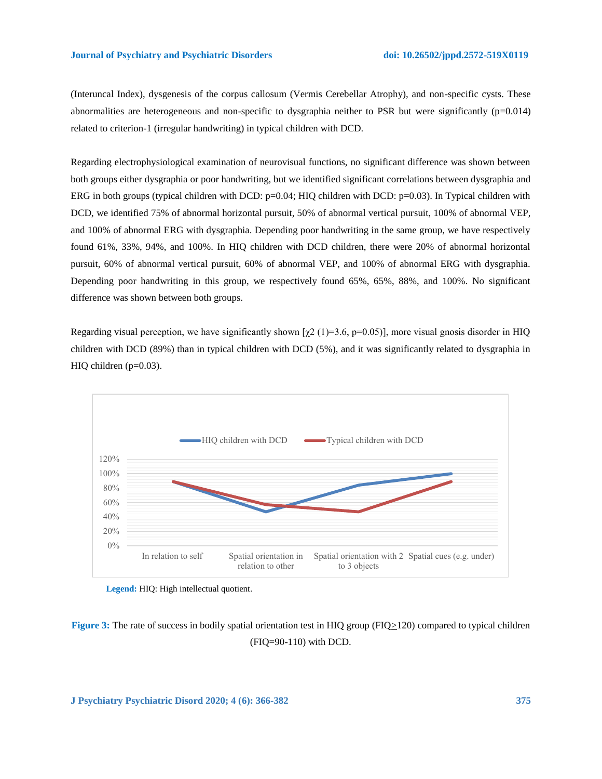(Interuncal Index), dysgenesis of the corpus callosum (Vermis Cerebellar Atrophy), and non-specific cysts. These abnormalities are heterogeneous and non-specific to dysgraphia neither to PSR but were significantly (p=0.014) related to criterion-1 (irregular handwriting) in typical children with DCD.

Regarding electrophysiological examination of neurovisual functions, no significant difference was shown between both groups either dysgraphia or poor handwriting, but we identified significant correlations between dysgraphia and ERG in both groups (typical children with DCD:  $p=0.04$ ; HIQ children with DCD:  $p=0.03$ ). In Typical children with DCD, we identified 75% of abnormal horizontal pursuit, 50% of abnormal vertical pursuit, 100% of abnormal VEP, and 100% of abnormal ERG with dysgraphia. Depending poor handwriting in the same group, we have respectively found 61%, 33%, 94%, and 100%. In HIQ children with DCD children, there were 20% of abnormal horizontal pursuit, 60% of abnormal vertical pursuit, 60% of abnormal VEP, and 100% of abnormal ERG with dysgraphia. Depending poor handwriting in this group, we respectively found 65%, 65%, 88%, and 100%. No significant difference was shown between both groups.

Regarding visual perception, we have significantly shown  $[\gamma 2 (1)=3.6, \gamma =0.05]$ , more visual gnosis disorder in HIO children with DCD (89%) than in typical children with DCD (5%), and it was significantly related to dysgraphia in HIQ children  $(p=0.03)$ .



**Legend:** HIQ: High intellectual quotient.

**Figure 3:** The rate of success in bodily spatial orientation test in HIQ group (FIQ>120) compared to typical children (FIQ=90-110) with DCD.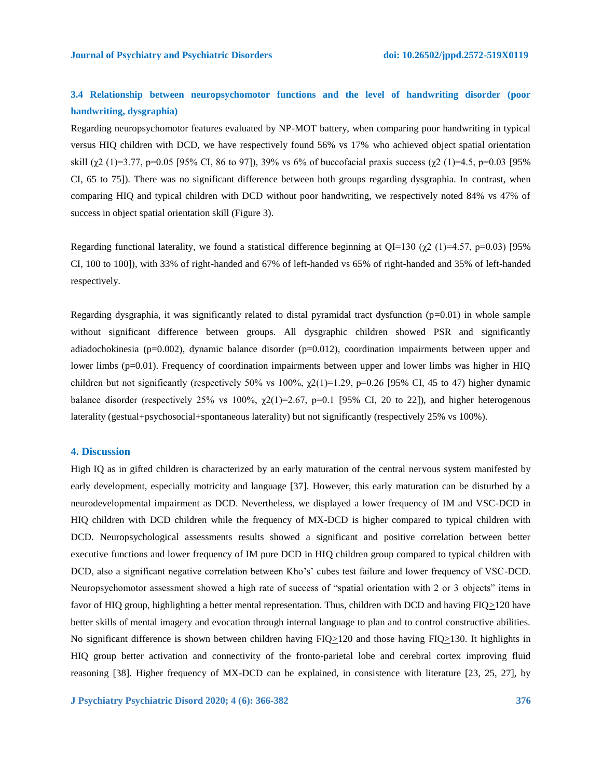# **3.4 Relationship between neuropsychomotor functions and the level of handwriting disorder (poor handwriting, dysgraphia)**

Regarding neuropsychomotor features evaluated by NP-MOT battery, when comparing poor handwriting in typical versus HIQ children with DCD, we have respectively found 56% vs 17% who achieved object spatial orientation skill (χ2 (1)=3.77, p=0.05 [95% CI, 86 to 97]), 39% vs 6% of buccofacial praxis success (χ2 (1)=4.5, p=0.03 [95% CI, 65 to 75]). There was no significant difference between both groups regarding dysgraphia. In contrast, when comparing HIQ and typical children with DCD without poor handwriting, we respectively noted 84% vs 47% of success in object spatial orientation skill (Figure 3).

Regarding functional laterality, we found a statistical difference beginning at QI=130 ( $\chi$ 2 (1)=4.57, p=0.03) [95% CI, 100 to 100]), with 33% of right-handed and 67% of left-handed vs 65% of right-handed and 35% of left-handed respectively.

Regarding dysgraphia, it was significantly related to distal pyramidal tract dysfunction  $(p=0.01)$  in whole sample without significant difference between groups. All dysgraphic children showed PSR and significantly adiadochokinesia (p=0.002), dynamic balance disorder (p=0.012), coordination impairments between upper and lower limbs (p=0.01). Frequency of coordination impairments between upper and lower limbs was higher in HIQ children but not significantly (respectively 50% vs 100%,  $\chi$ 2(1)=1.29, p=0.26 [95% CI, 45 to 47) higher dynamic balance disorder (respectively 25% vs 100%,  $\chi$ 2(1)=2.67, p=0.1 [95% CI, 20 to 22]), and higher heterogenous laterality (gestual+psychosocial+spontaneous laterality) but not significantly (respectively 25% vs 100%).

## **4. Discussion**

High IQ as in gifted children is characterized by an early maturation of the central nervous system manifested by early development, especially motricity and language [37]. However, this early maturation can be disturbed by a neurodevelopmental impairment as DCD. Nevertheless, we displayed a lower frequency of IM and VSC-DCD in HIQ children with DCD children while the frequency of MX-DCD is higher compared to typical children with DCD. Neuropsychological assessments results showed a significant and positive correlation between better executive functions and lower frequency of IM pure DCD in HIQ children group compared to typical children with DCD, also a significant negative correlation between Kho's' cubes test failure and lower frequency of VSC-DCD. Neuropsychomotor assessment showed a high rate of success of "spatial orientation with 2 or 3 objects" items in favor of HIQ group, highlighting a better mental representation. Thus, children with DCD and having FIQ>120 have better skills of mental imagery and evocation through internal language to plan and to control constructive abilities. No significant difference is shown between children having FIQ>120 and those having FIQ>130. It highlights in HIQ group better activation and connectivity of the fronto-parietal lobe and cerebral cortex improving fluid reasoning [38]. Higher frequency of MX-DCD can be explained, in consistence with literature [23, 25, 27], by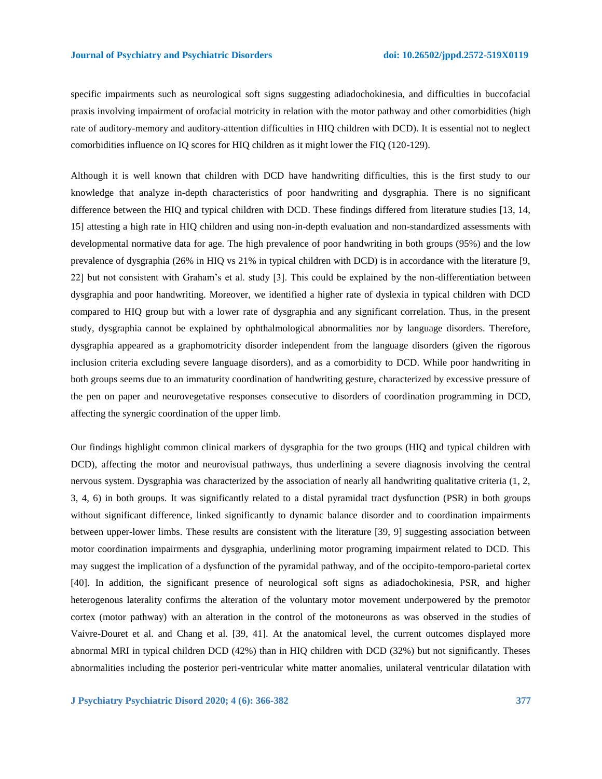specific impairments such as neurological soft signs suggesting adiadochokinesia, and difficulties in buccofacial praxis involving impairment of orofacial motricity in relation with the motor pathway and other comorbidities (high rate of auditory-memory and auditory-attention difficulties in HIQ children with DCD). It is essential not to neglect comorbidities influence on IQ scores for HIQ children as it might lower the FIQ (120-129).

Although it is well known that children with DCD have handwriting difficulties, this is the first study to our knowledge that analyze in-depth characteristics of poor handwriting and dysgraphia. There is no significant difference between the HIQ and typical children with DCD. These findings differed from literature studies [13, 14, 15] attesting a high rate in HIQ children and using non-in-depth evaluation and non-standardized assessments with developmental normative data for age. The high prevalence of poor handwriting in both groups (95%) and the low prevalence of dysgraphia (26% in HIQ vs 21% in typical children with DCD) is in accordance with the literature [9, 22] but not consistent with Graham's et al. study [3]. This could be explained by the non-differentiation between dysgraphia and poor handwriting. Moreover, we identified a higher rate of dyslexia in typical children with DCD compared to HIQ group but with a lower rate of dysgraphia and any significant correlation. Thus, in the present study, dysgraphia cannot be explained by ophthalmological abnormalities nor by language disorders. Therefore, dysgraphia appeared as a graphomotricity disorder independent from the language disorders (given the rigorous inclusion criteria excluding severe language disorders), and as a comorbidity to DCD. While poor handwriting in both groups seems due to an immaturity coordination of handwriting gesture, characterized by excessive pressure of the pen on paper and neurovegetative responses consecutive to disorders of coordination programming in DCD, affecting the synergic coordination of the upper limb.

Our findings highlight common clinical markers of dysgraphia for the two groups (HIQ and typical children with DCD), affecting the motor and neurovisual pathways, thus underlining a severe diagnosis involving the central nervous system. Dysgraphia was characterized by the association of nearly all handwriting qualitative criteria (1, 2, 3, 4, 6) in both groups. It was significantly related to a distal pyramidal tract dysfunction (PSR) in both groups without significant difference, linked significantly to dynamic balance disorder and to coordination impairments between upper-lower limbs. These results are consistent with the literature [39, 9] suggesting association between motor coordination impairments and dysgraphia, underlining motor programing impairment related to DCD. This may suggest the implication of a dysfunction of the pyramidal pathway, and of the occipito-temporo-parietal cortex [40]. In addition, the significant presence of neurological soft signs as adiadochokinesia, PSR, and higher heterogenous laterality confirms the alteration of the voluntary motor movement underpowered by the premotor cortex (motor pathway) with an alteration in the control of the motoneurons as was observed in the studies of Vaivre-Douret et al. and Chang et al. [39, 41]. At the anatomical level, the current outcomes displayed more abnormal MRI in typical children DCD (42%) than in HIQ children with DCD (32%) but not significantly. Theses abnormalities including the posterior peri-ventricular white matter anomalies, unilateral ventricular dilatation with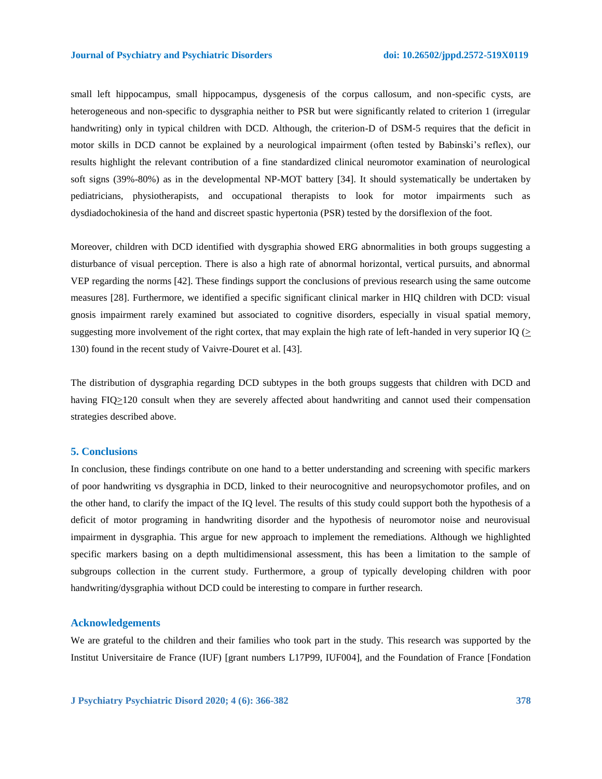small left hippocampus, small hippocampus, dysgenesis of the corpus callosum, and non-specific cysts, are heterogeneous and non-specific to dysgraphia neither to PSR but were significantly related to criterion 1 (irregular handwriting) only in typical children with DCD. Although, the criterion-D of DSM-5 requires that the deficit in motor skills in DCD cannot be explained by a neurological impairment (often tested by Babinski's reflex), our results highlight the relevant contribution of a fine standardized clinical neuromotor examination of neurological soft signs (39%-80%) as in the developmental NP-MOT battery [34]. It should systematically be undertaken by pediatricians, physiotherapists, and occupational therapists to look for motor impairments such as dysdiadochokinesia of the hand and discreet spastic hypertonia (PSR) tested by the dorsiflexion of the foot.

Moreover, children with DCD identified with dysgraphia showed ERG abnormalities in both groups suggesting a disturbance of visual perception. There is also a high rate of abnormal horizontal, vertical pursuits, and abnormal VEP regarding the norms [42]. These findings support the conclusions of previous research using the same outcome measures [28]. Furthermore, we identified a specific significant clinical marker in HIQ children with DCD: visual gnosis impairment rarely examined but associated to cognitive disorders, especially in visual spatial memory, suggesting more involvement of the right cortex, that may explain the high rate of left-handed in very superior IQ  $($ 130) found in the recent study of Vaivre-Douret et al. [43].

The distribution of dysgraphia regarding DCD subtypes in the both groups suggests that children with DCD and having FIQ>120 consult when they are severely affected about handwriting and cannot used their compensation strategies described above.

## **5. Conclusions**

In conclusion, these findings contribute on one hand to a better understanding and screening with specific markers of poor handwriting vs dysgraphia in DCD, linked to their neurocognitive and neuropsychomotor profiles, and on the other hand, to clarify the impact of the IQ level. The results of this study could support both the hypothesis of a deficit of motor programing in handwriting disorder and the hypothesis of neuromotor noise and neurovisual impairment in dysgraphia. This argue for new approach to implement the remediations. Although we highlighted specific markers basing on a depth multidimensional assessment, this has been a limitation to the sample of subgroups collection in the current study. Furthermore, a group of typically developing children with poor handwriting/dysgraphia without DCD could be interesting to compare in further research.

#### **Acknowledgements**

We are grateful to the children and their families who took part in the study. This research was supported by the Institut Universitaire de France (IUF) [grant numbers L17P99, IUF004], and the Foundation of France [Fondation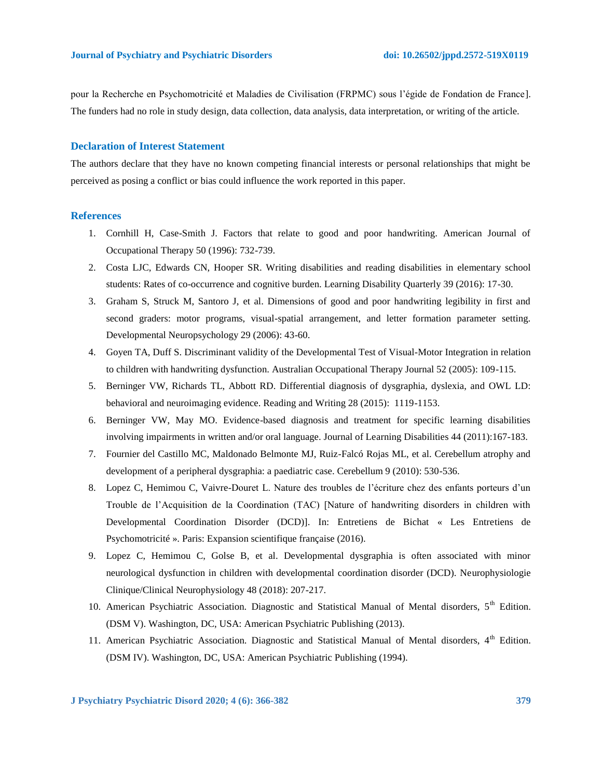pour la Recherche en Psychomotricité et Maladies de Civilisation (FRPMC) sous l'égide de Fondation de France]. The funders had no role in study design, data collection, data analysis, data interpretation, or writing of the article.

# **Declaration of Interest Statement**

The authors declare that they have no known competing financial interests or personal relationships that might be perceived as posing a conflict or bias could influence the work reported in this paper.

# **References**

- 1. Cornhill H, Case-Smith J. Factors that relate to good and poor handwriting. American Journal of Occupational Therapy 50 (1996): 732-739.
- 2. Costa LJC, Edwards CN, Hooper SR. Writing disabilities and reading disabilities in elementary school students: Rates of co-occurrence and cognitive burden. Learning Disability Quarterly 39 (2016): 17-30.
- 3. Graham S, Struck M, Santoro J, et al. Dimensions of good and poor handwriting legibility in first and second graders: motor programs, visual-spatial arrangement, and letter formation parameter setting. Developmental Neuropsychology 29 (2006): 43-60.
- 4. Goyen TA, Duff S. Discriminant validity of the Developmental Test of Visual-Motor Integration in relation to children with handwriting dysfunction. Australian Occupational Therapy Journal 52 (2005): 109-115.
- 5. Berninger VW, Richards TL, Abbott RD. Differential diagnosis of dysgraphia, dyslexia, and OWL LD: behavioral and neuroimaging evidence. Reading and Writing 28 (2015): 1119-1153.
- 6. Berninger VW, May MO. Evidence-based diagnosis and treatment for specific learning disabilities involving impairments in written and/or oral language. Journal of Learning Disabilities 44 (2011):167-183.
- 7. Fournier del Castillo MC, Maldonado Belmonte MJ, Ruiz-Falcó Rojas ML, et al. Cerebellum atrophy and development of a peripheral dysgraphia: a paediatric case. Cerebellum 9 (2010): 530-536.
- 8. Lopez C, Hemimou C, Vaivre-Douret L. Nature des troubles de l'écriture chez des enfants porteurs d'un Trouble de l'Acquisition de la Coordination (TAC) [Nature of handwriting disorders in children with Developmental Coordination Disorder (DCD)]. In: Entretiens de Bichat « Les Entretiens de Psychomotricité ». Paris: Expansion scientifique française (2016).
- 9. Lopez C, Hemimou C, Golse B, et al. Developmental dysgraphia is often associated with minor neurological dysfunction in children with developmental coordination disorder (DCD). Neurophysiologie Clinique/Clinical Neurophysiology 48 (2018): 207-217.
- 10. American Psychiatric Association. Diagnostic and Statistical Manual of Mental disorders, 5<sup>th</sup> Edition. (DSM V). Washington, DC, USA: American Psychiatric Publishing (2013).
- 11. American Psychiatric Association. Diagnostic and Statistical Manual of Mental disorders, 4<sup>th</sup> Edition. (DSM IV). Washington, DC, USA: American Psychiatric Publishing (1994).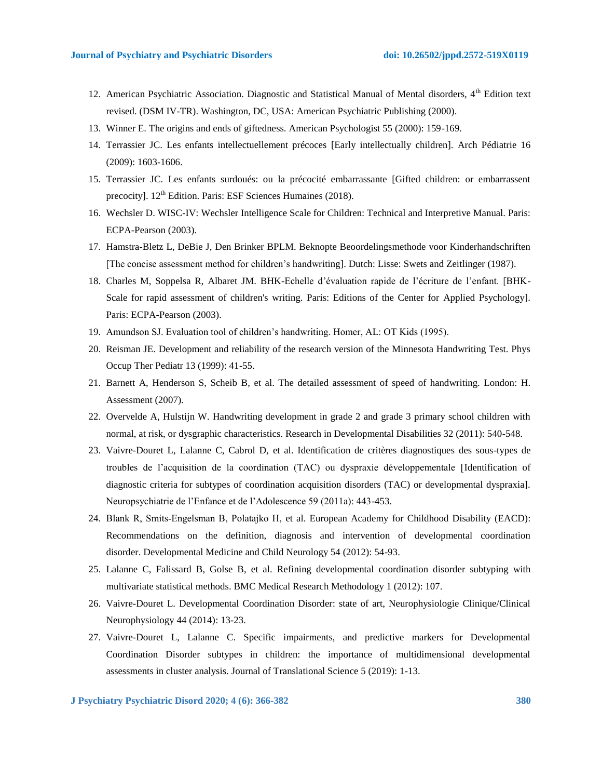- 12. American Psychiatric Association. Diagnostic and Statistical Manual of Mental disorders, 4<sup>th</sup> Edition text revised. (DSM IV-TR). Washington, DC, USA: American Psychiatric Publishing (2000).
- 13. Winner E. The origins and ends of giftedness. American Psychologist 55 (2000): 159-169.
- 14. Terrassier JC. Les enfants intellectuellement précoces [Early intellectually children]. Arch Pédiatrie 16 (2009): 1603-1606.
- 15. Terrassier JC. Les enfants surdoués: ou la précocité embarrassante [Gifted children: or embarrassent precocity].  $12^{th}$  Edition. Paris: ESF Sciences Humaines (2018).
- 16. Wechsler D. WISC-IV: Wechsler Intelligence Scale for Children: Technical and Interpretive Manual. Paris: ECPA-Pearson (2003).
- 17. Hamstra-Bletz L, DeBie J, Den Brinker BPLM. Beknopte Beoordelingsmethode voor Kinderhandschriften [The concise assessment method for children's handwriting]. Dutch: Lisse: Swets and Zeitlinger (1987).
- 18. Charles M, Soppelsa R, Albaret JM. BHK-Echelle d'évaluation rapide de l'écriture de l'enfant. [BHK-Scale for rapid assessment of children's writing. Paris: Editions of the Center for Applied Psychology]. Paris: ECPA-Pearson (2003).
- 19. Amundson SJ. Evaluation tool of children's handwriting. Homer, AL: OT Kids (1995).
- 20. Reisman JE. Development and reliability of the research version of the Minnesota Handwriting Test. Phys Occup Ther Pediatr 13 (1999): 41-55.
- 21. Barnett A, Henderson S, Scheib B, et al. The detailed assessment of speed of handwriting. London: H. Assessment (2007).
- 22. Overvelde A, Hulstijn W. Handwriting development in grade 2 and grade 3 primary school children with normal, at risk, or dysgraphic characteristics. Research in Developmental Disabilities 32 (2011): 540-548.
- 23. Vaivre-Douret L, Lalanne C, Cabrol D, et al. Identification de critères diagnostiques des sous-types de troubles de l'acquisition de la coordination (TAC) ou dyspraxie développementale [Identification of diagnostic criteria for subtypes of coordination acquisition disorders (TAC) or developmental dyspraxia]. Neuropsychiatrie de l'Enfance et de l'Adolescence 59 (2011a): 443-453.
- 24. Blank R, Smits‐Engelsman B, Polatajko H, et al. European Academy for Childhood Disability (EACD): Recommendations on the definition, diagnosis and intervention of developmental coordination disorder. Developmental Medicine and Child Neurology 54 (2012): 54-93.
- 25. Lalanne C, Falissard B, Golse B, et al. Refining developmental coordination disorder subtyping with multivariate statistical methods. BMC Medical Research Methodology 1 (2012): 107.
- 26. Vaivre-Douret L. Developmental Coordination Disorder: state of art, Neurophysiologie Clinique/Clinical Neurophysiology 44 (2014): 13-23.
- 27. Vaivre-Douret L, Lalanne C. Specific impairments, and predictive markers for Developmental Coordination Disorder subtypes in children: the importance of multidimensional developmental assessments in cluster analysis. Journal of Translational Science 5 (2019): 1-13.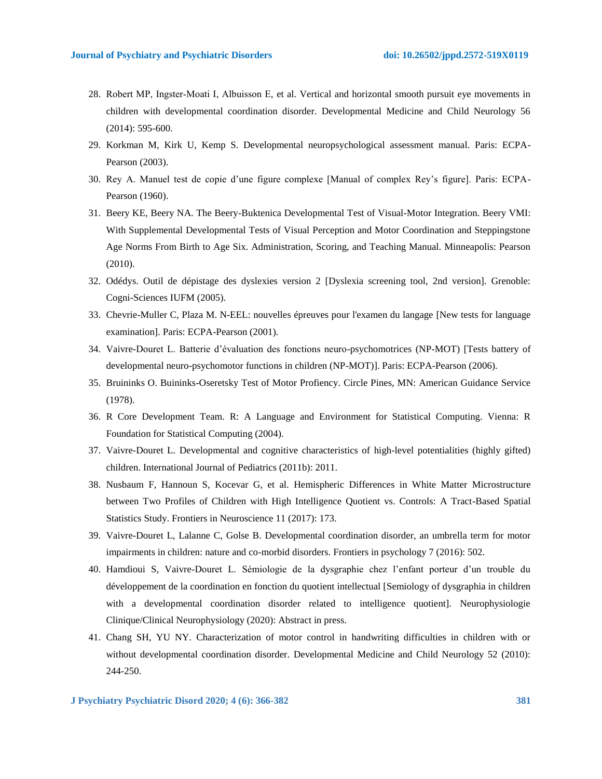- 28. Robert MP, Ingster‐Moati I, Albuisson E, et al. Vertical and horizontal smooth pursuit eye movements in children with developmental coordination disorder. Developmental Medicine and Child Neurology 56 (2014): 595-600.
- 29. Korkman M, Kirk U, Kemp S. Developmental neuropsychological assessment manual. Paris: ECPA-Pearson (2003).
- 30. Rey A. Manuel test de copie d'une figure complexe [Manual of complex Rey's figure]. Paris: ECPA-Pearson (1960).
- 31. Beery KE, Beery NA. The Beery-Buktenica Developmental Test of Visual-Motor Integration. Beery VMI: With Supplemental Developmental Tests of Visual Perception and Motor Coordination and Steppingstone Age Norms From Birth to Age Six. Administration, Scoring, and Teaching Manual. Minneapolis: Pearson (2010).
- 32. Odédys. Outil de dépistage des dyslexies version 2 [Dyslexia screening tool, 2nd version]. Grenoble: Cogni-Sciences IUFM (2005).
- 33. Chevrie-Muller C, Plaza M. N-EEL: nouvelles épreuves pour l'examen du langage [New tests for language examination]. Paris: ECPA-Pearson (2001).
- 34. Vaivre-Douret L. Batterie d'évaluation des fonctions neuro-psychomotrices (NP-MOT) [Tests battery of developmental neuro-psychomotor functions in children (NP-MOT)]. Paris: ECPA-Pearson (2006).
- 35. Bruininks O. Buininks-Oseretsky Test of Motor Profiency. Circle Pines, MN: American Guidance Service (1978).
- 36. R Core Development Team. R: A Language and Environment for Statistical Computing. Vienna: R Foundation for Statistical Computing (2004).
- 37. Vaivre-Douret L. Developmental and cognitive characteristics of high-level potentialities (highly gifted) children. International Journal of Pediatrics (2011b): 2011.
- 38. Nusbaum F, Hannoun S, Kocevar G, et al. Hemispheric Differences in White Matter Microstructure between Two Profiles of Children with High Intelligence Quotient vs. Controls: A Tract-Based Spatial Statistics Study. Frontiers in Neuroscience 11 (2017): 173.
- 39. Vaivre-Douret L, Lalanne C, Golse B. Developmental coordination disorder, an umbrella term for motor impairments in children: nature and co-morbid disorders. Frontiers in psychology 7 (2016): 502.
- 40. Hamdioui S, Vaivre-Douret L. Sémiologie de la dysgraphie chez l'enfant porteur d'un trouble du développement de la coordination en fonction du quotient intellectual [Semiology of dysgraphia in children with a developmental coordination disorder related to intelligence quotient]. Neurophysiologie Clinique/Clinical Neurophysiology (2020): Abstract in press.
- 41. Chang SH, YU NY. Characterization of motor control in handwriting difficulties in children with or without developmental coordination disorder. Developmental Medicine and Child Neurology 52 (2010): 244-250.